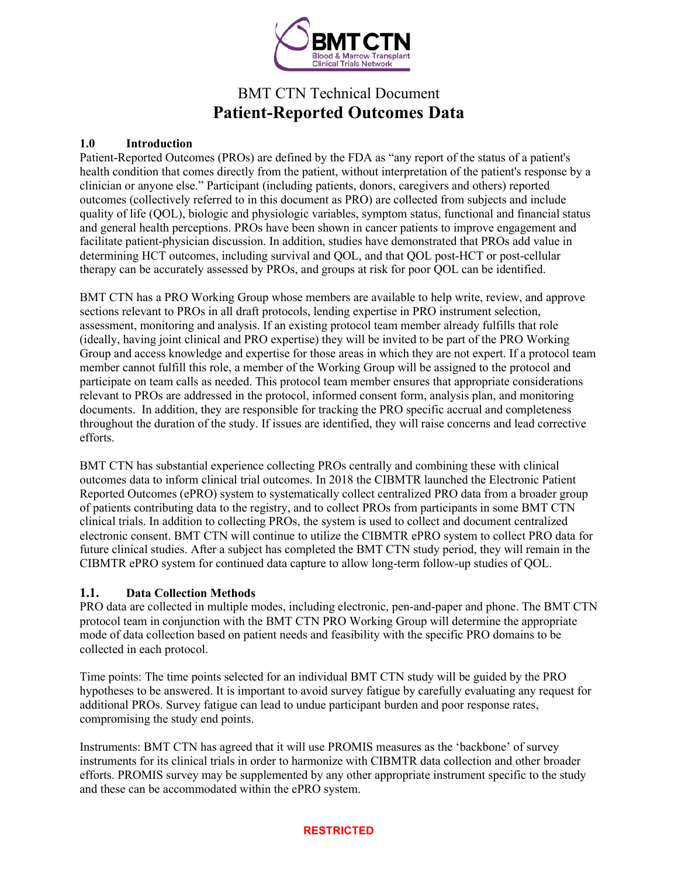

# BMT CTN Technical Document **Patient-Reported Outcomes Data**

### **1.0 Introduction**

Patient-Reported Outcomes (PROs) are defined by the FDA as "any report of the status of a patient's health condition that comes directly from the patient, without interpretation of the patient's response by a clinician or anyone else." Participant (including patients, donors, caregivers and others) reported outcomes (collectively referred to in this document as PRO) are collected from subjects and include quality of life (QOL), biologic and physiologic variables, symptom status, functional and financial status and general health perceptions. PROs have been shown in cancer patients to improve engagement and facilitate patient-physician discussion. In addition, studies have demonstrated that PROs add value in determining HCT outcomes, including survival and QOL, and that QOL post-HCT or post-cellular therapy can be accurately assessed by PROs, and groups at risk for poor QOL can be identified.

BMT CTN has a PRO Working Group whose members are available to help write, review, and approve sections relevant to PROs in all draft protocols, lending expertise in PRO instrument selection, assessment, monitoring and analysis. If an existing protocol team member already fulfills that role (ideally, having joint clinical and PRO expertise) they will be invited to be part of the PRO Working Group and access knowledge and expertise for those areas in which they are not expert. If a protocol team member cannot fulfill this role, a member of the Working Group will be assigned to the protocol and participate on team calls as needed. This protocol team member ensures that appropriate considerations relevant to PROs are addressed in the protocol, informed consent form, analysis plan, and monitoring documents. In addition, they are responsible for tracking the PRO specific accrual and completeness throughout the duration of the study. If issues are identified, they will raise concerns and lead corrective efforts.

BMT CTN has substantial experience collecting PROs centrally and combining these with clinical outcomes data to inform clinical trial outcomes. In 2018 the CIBMTR launched the Electronic Patient Reported Outcomes (ePRO) system to systematically collect centralized PRO data from a broader group of patients contributing data to the registry, and to collect PROs from participants in some BMT CTN clinical trials. In addition to collecting PROs, the system is used to collect and document centralized electronic consent. BMT CTN will continue to utilize the CIBMTR ePRO system to collect PRO data for future clinical studies. After a subject has completed the BMT CTN study period, they will remain in the CIBMTR ePRO system for continued data capture to allow long-term follow-up studies of QOL.

## **1.1. Data Collection Methods**

PRO data are collected in multiple modes, including electronic, pen-and-paper and phone. The BMT CTN protocol team in conjunction with the BMT CTN PRO Working Group will determine the appropriate mode of data collection based on patient needs and feasibility with the specific PRO domains to be collected in each protocol.

Time points: The time points selected for an individual BMT CTN study will be guided by the PRO hypotheses to be answered. It is important to avoid survey fatigue by carefully evaluating any request for additional PROs. Survey fatigue can lead to undue participant burden and poor response rates, compromising the study end points.

Instruments: BMT CTN has agreed that it will use PROMIS measures as the 'backbone' of survey instruments for its clinical trials in order to harmonize with CIBMTR data collection and other broader efforts. PROMIS survey may be supplemented by any other appropriate instrument specific to the study and these can be accommodated within the ePRO system.

#### **RESTRICTED**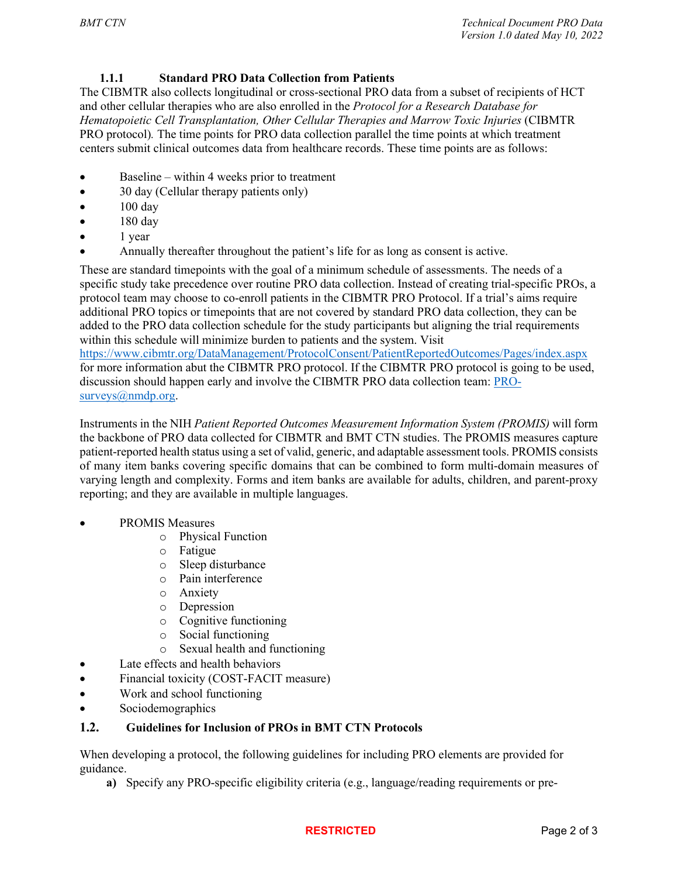## **1.1.1 Standard PRO Data Collection from Patients**

The CIBMTR also collects longitudinal or cross-sectional PRO data from a subset of recipients of HCT and other cellular therapies who are also enrolled in the *Protocol for a Research Database for Hematopoietic Cell Transplantation, Other Cellular Therapies and Marrow Toxic Injuries* (CIBMTR PRO protocol)*.* The time points for PRO data collection parallel the time points at which treatment centers submit clinical outcomes data from healthcare records. These time points are as follows:

- Baseline within 4 weeks prior to treatment
- 30 day (Cellular therapy patients only)
- $\bullet$  100 day
- $\bullet$  180 day
- 1 year
- Annually thereafter throughout the patient's life for as long as consent is active.

These are standard timepoints with the goal of a minimum schedule of assessments. The needs of a specific study take precedence over routine PRO data collection. Instead of creating trial-specific PROs, a protocol team may choose to co-enroll patients in the CIBMTR PRO Protocol. If a trial's aims require additional PRO topics or timepoints that are not covered by standard PRO data collection, they can be added to the PRO data collection schedule for the study participants but aligning the trial requirements within this schedule will minimize burden to patients and the system. Visit <https://www.cibmtr.org/DataManagement/ProtocolConsent/PatientReportedOutcomes/Pages/index.aspx>

for more information abut the CIBMTR PRO protocol. If the CIBMTR PRO protocol is going to be used, discussion should happen early and involve the CIBMTR PRO data collection team: [PRO](mailto:PRO-surveys@nmdp.org)[surveys@nmdp.org.](mailto:PRO-surveys@nmdp.org)

Instruments in the NIH *Patient Reported Outcomes Measurement Information System (PROMIS)* will form the backbone of PRO data collected for CIBMTR and BMT CTN studies. The PROMIS measures capture patient-reported health status using a set of valid, generic, and adaptable assessment tools. PROMIS consists of many item banks covering specific domains that can be combined to form multi-domain measures of varying length and complexity. Forms and item banks are available for adults, children, and parent-proxy reporting; and they are available in multiple languages.

- PROMIS Measures
	- o Physical Function
	- o Fatigue
	- o Sleep disturbance
	- o Pain interference
	- o Anxiety
	- o Depression
	- o Cognitive functioning
	- Social functioning
	- o Sexual health and functioning
- Late effects and health behaviors
- Financial toxicity (COST-FACIT measure)
- Work and school functioning
- Sociodemographics

## **1.2. Guidelines for Inclusion of PROs in BMT CTN Protocols**

When developing a protocol, the following guidelines for including PRO elements are provided for guidance.

**a)** Specify any PRO-specific eligibility criteria (e.g., language/reading requirements or pre-